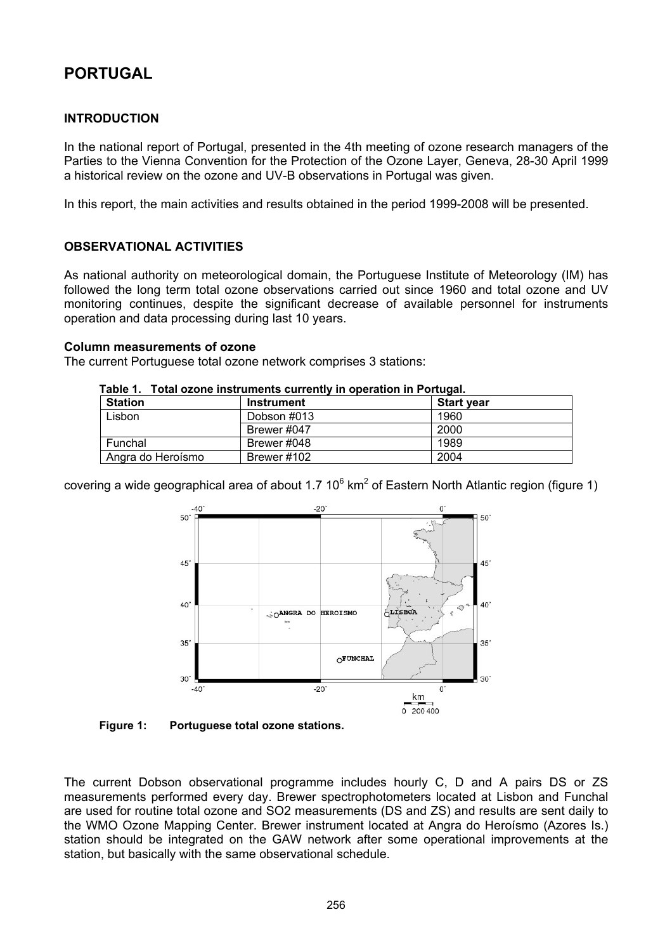# **PORTUGAL**

# **INTRODUCTION**

In the national report of Portugal, presented in the 4th meeting of ozone research managers of the Parties to the Vienna Convention for the Protection of the Ozone Layer, Geneva, 28-30 April 1999 a historical review on the ozone and UV-B observations in Portugal was given.

In this report, the main activities and results obtained in the period 1999-2008 will be presented.

# **OBSERVATIONAL ACTIVITIES**

As national authority on meteorological domain, the Portuguese Institute of Meteorology (IM) has followed the long term total ozone observations carried out since 1960 and total ozone and UV monitoring continues, despite the significant decrease of available personnel for instruments operation and data processing during last 10 years.

### **Column measurements of ozone**

The current Portuguese total ozone network comprises 3 stations:

| Table T. Tulai Uzune msuuments currentiv in Operation in Furtugal. |                   |                   |  |  |  |
|--------------------------------------------------------------------|-------------------|-------------------|--|--|--|
| <b>Station</b>                                                     | <b>Instrument</b> | <b>Start year</b> |  |  |  |
| Lisbon                                                             | Dobson #013       | 1960              |  |  |  |
|                                                                    | Brewer #047       | 2000              |  |  |  |
| Funchal                                                            | Brewer #048       | 1989              |  |  |  |
| Angra do Heroísmo                                                  | Brewer #102       | 2004              |  |  |  |

|  | Table 1. Total ozone instruments currently in operation in Portugal. |  |  |
|--|----------------------------------------------------------------------|--|--|
|--|----------------------------------------------------------------------|--|--|

covering a wide geographical area of about 1.7 10<sup>6</sup> km<sup>2</sup> of Eastern North Atlantic region (figure 1)



**Figure 1: Portuguese total ozone stations.** 

The current Dobson observational programme includes hourly C, D and A pairs DS or ZS measurements performed every day. Brewer spectrophotometers located at Lisbon and Funchal are used for routine total ozone and SO2 measurements (DS and ZS) and results are sent daily to the WMO Ozone Mapping Center. Brewer instrument located at Angra do Heroísmo (Azores Is.) station should be integrated on the GAW network after some operational improvements at the station, but basically with the same observational schedule.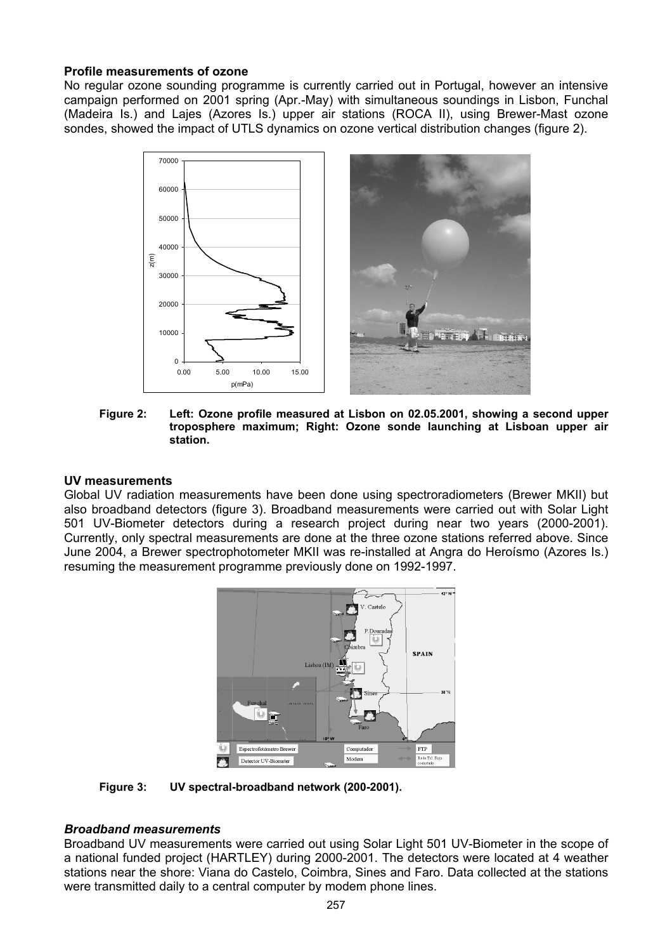### **Profile measurements of ozone**

No regular ozone sounding programme is currently carried out in Portugal, however an intensive campaign performed on 2001 spring (Apr.-May) with simultaneous soundings in Lisbon, Funchal (Madeira Is.) and Lajes (Azores Is.) upper air stations (ROCA II), using Brewer-Mast ozone sondes, showed the impact of UTLS dynamics on ozone vertical distribution changes (figure 2).



**Figure 2: Left: Ozone profile measured at Lisbon on 02.05.2001, showing a second upper troposphere maximum; Right: Ozone sonde launching at Lisboan upper air station.** 

### **UV measurements**

Global UV radiation measurements have been done using spectroradiometers (Brewer MKII) but also broadband detectors (figure 3). Broadband measurements were carried out with Solar Light 501 UV-Biometer detectors during a research project during near two years (2000-2001). Currently, only spectral measurements are done at the three ozone stations referred above. Since June 2004, a Brewer spectrophotometer MKII was re-installed at Angra do Heroísmo (Azores Is.) resuming the measurement programme previously done on 1992-1997.



**Figure 3: UV spectral-broadband network (200-2001).** 

# *Broadband measurements*

Broadband UV measurements were carried out using Solar Light 501 UV-Biometer in the scope of a national funded project (HARTLEY) during 2000-2001. The detectors were located at 4 weather stations near the shore: Viana do Castelo, Coimbra, Sines and Faro. Data collected at the stations were transmitted daily to a central computer by modem phone lines.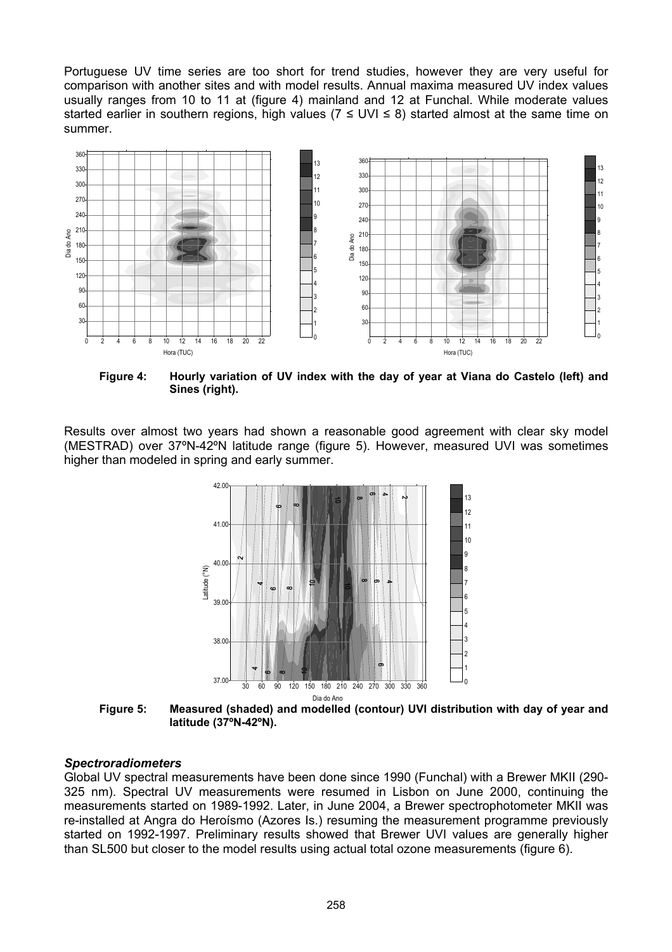Portuguese UV time series are too short for trend studies, however they are very useful for comparison with another sites and with model results. Annual maxima measured UV index values usually ranges from 10 to 11 at (figure 4) mainland and 12 at Funchal. While moderate values started earlier in southern regions, high values ( $7 \le$  UVI  $\le$  8) started almost at the same time on summer.



**Figure 4: Hourly variation of UV index with the day of year at Viana do Castelo (left) and Sines (right).** 

Results over almost two years had shown a reasonable good agreement with clear sky model (MESTRAD) over 37ºN-42ºN latitude range (figure 5). However, measured UVI was sometimes higher than modeled in spring and early summer.



**Figure 5: Measured (shaded) and modelled (contour) UVI distribution with day of year and latitude (37ºN-42ºN).** 

# *Spectroradiometers*

Global UV spectral measurements have been done since 1990 (Funchal) with a Brewer MKII (290- 325 nm). Spectral UV measurements were resumed in Lisbon on June 2000, continuing the measurements started on 1989-1992. Later, in June 2004, a Brewer spectrophotometer MKII was re-installed at Angra do Heroísmo (Azores Is.) resuming the measurement programme previously started on 1992-1997. Preliminary results showed that Brewer UVI values are generally higher than SL500 but closer to the model results using actual total ozone measurements (figure 6).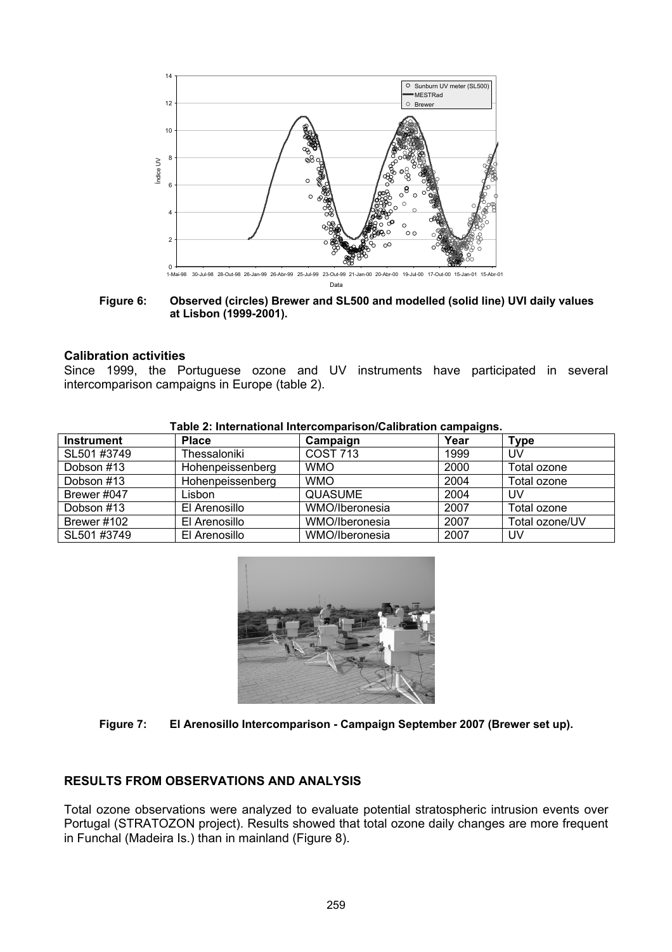

**Figure 6: Observed (circles) Brewer and SL500 and modelled (solid line) UVI daily values at Lisbon (1999-2001).** 

### **Calibration activities**

Since 1999, the Portuguese ozone and UV instruments have participated in several intercomparison campaigns in Europe (table 2).

| <b>Instrument</b> | <b>Place</b>     | Campaign        | Year | Type           |
|-------------------|------------------|-----------------|------|----------------|
| SL501 #3749       | Thessaloniki     | <b>COST 713</b> | 1999 | UV             |
| Dobson #13        | Hohenpeissenberg | <b>WMO</b>      | 2000 | Total ozone    |
| Dobson #13        | Hohenpeissenberg | <b>WMO</b>      | 2004 | Total ozone    |
| Brewer #047       | Lisbon           | <b>QUASUME</b>  | 2004 | UV             |
| Dobson #13        | El Arenosillo    | WMO/Iberonesia  | 2007 | Total ozone    |
| Brewer #102       | El Arenosillo    | WMO/Iberonesia  | 2007 | Total ozone/UV |
| SL501#3749        | El Arenosillo    | WMO/Iberonesia  | 2007 | UV             |

#### **Table 2: International Intercomparison/Calibration campaigns.**





# **RESULTS FROM OBSERVATIONS AND ANALYSIS**

Total ozone observations were analyzed to evaluate potential stratospheric intrusion events over Portugal (STRATOZON project). Results showed that total ozone daily changes are more frequent in Funchal (Madeira Is.) than in mainland (Figure 8).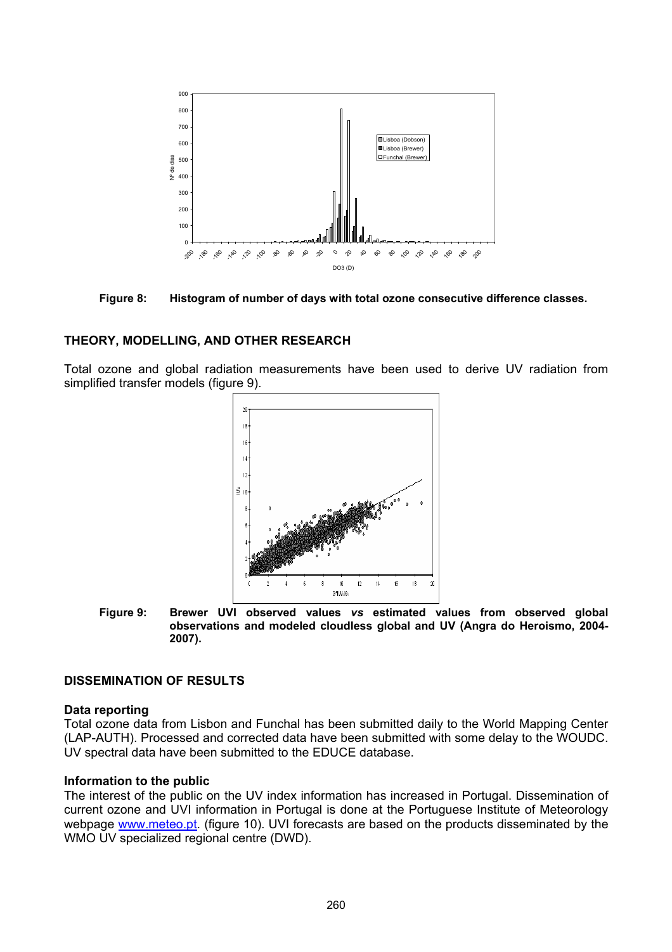

**Figure 8: Histogram of number of days with total ozone consecutive difference classes.** 

# **THEORY, MODELLING, AND OTHER RESEARCH**

Total ozone and global radiation measurements have been used to derive UV radiation from simplified transfer models (figure 9).



**Figure 9: Brewer UVI observed values** *vs* **estimated values from observed global observations and modeled cloudless global and UV (Angra do Heroismo, 2004- 2007).** 

# **DISSEMINATION OF RESULTS**

### **Data reporting**

Total ozone data from Lisbon and Funchal has been submitted daily to the World Mapping Center (LAP-AUTH). Processed and corrected data have been submitted with some delay to the WOUDC. UV spectral data have been submitted to the EDUCE database.

### **Information to the public**

The interest of the public on the UV index information has increased in Portugal. Dissemination of current ozone and UVI information in Portugal is done at the Portuguese Institute of Meteorology webpage [www.meteo.pt](http://www.meteo.pt/). (figure 10). UVI forecasts are based on the products disseminated by the WMO UV specialized regional centre (DWD).